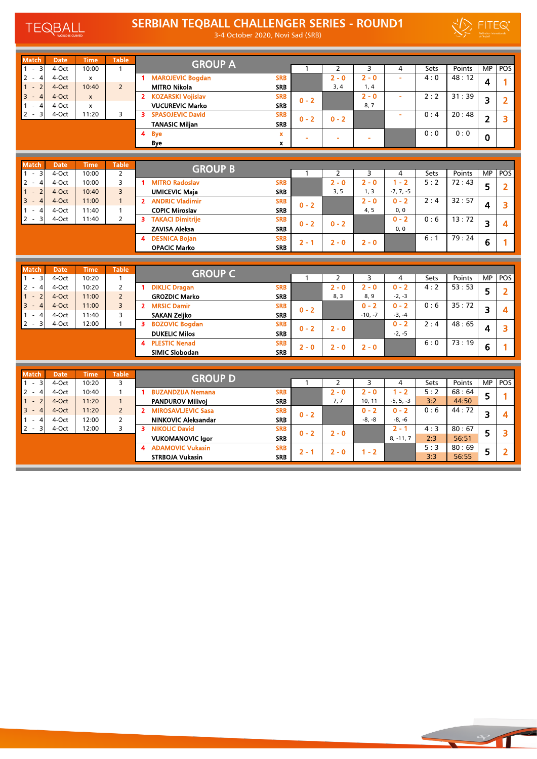TEQBALL SCURVED

## SERBIAN TEQBALL CHALLENGER SERIES - ROUND1

3-4 October 2020, Novi Sad (SRB)



| <b>Match</b>                                                        | Date                 | <b>Time</b>          | <b>Table</b>                 |                                                        |                          |              |                           |              |              |                          |                      |                          |                |
|---------------------------------------------------------------------|----------------------|----------------------|------------------------------|--------------------------------------------------------|--------------------------|--------------|---------------------------|--------------|--------------|--------------------------|----------------------|--------------------------|----------------|
| $\overline{3}$<br>$\sim$<br>$\mathbf{1}$                            | 4-Oct                | 10:00                | $\mathbf{1}$                 | <b>GROUP A</b>                                         |                          | 1            | $\overline{2}$            | 3            | 4            | Sets                     | Points               | MP                       | POS            |
| $\overline{2}$<br>$\overline{4}$<br>$\sim$                          | 4-Oct                | $\mathbf{x}$         |                              | 1 MAROJEVIC Bogdan                                     | <b>SRB</b>               |              | $2 - 0$                   | $2 - 0$      | ä,           | 4:0                      | 48:12                | 4                        | 1              |
| $\overline{2}$<br>$\mathbf{1}$                                      | 4-Oct                | 10:40                | $\overline{2}$               | <b>MITRO Nikola</b>                                    | <b>SRB</b>               |              | 3, 4                      | 1, 4         |              |                          |                      |                          |                |
| $3 - 4$                                                             | 4-Oct                | $\mathsf{x}$         |                              | 2 KOZARSKI Vojislav                                    | <b>SRB</b>               | $0 - 2$      |                           | $2 - 0$      | ä,           | 2:2                      | 31:39                | 3                        | $\overline{2}$ |
| $\mathbf{1}$<br>$\overline{4}$                                      | 4-Oct                | X                    |                              | <b>VUCUREVIC Marko</b>                                 | <b>SRB</b>               |              |                           | 8, 7         |              |                          |                      |                          |                |
| $2 - 3$                                                             | 4-Oct                | 11:20                | 3                            | 3<br><b>SPASOJEVIC David</b>                           | <b>SRB</b>               | $0 - 2$      | $0 - 2$                   |              |              | 0:4                      | 20:48                | $\overline{2}$           | 3              |
|                                                                     |                      |                      |                              | <b>TANASIC Miljan</b>                                  | <b>SRB</b>               |              |                           |              |              |                          |                      |                          |                |
|                                                                     |                      |                      |                              | 4 Bye                                                  | $\mathbf x$              |              |                           | ÷,           |              | 0:0                      | 0:0                  | $\mathbf 0$              |                |
|                                                                     |                      |                      |                              | Bye                                                    | $\mathbf{x}$             |              |                           |              |              |                          |                      |                          |                |
|                                                                     |                      |                      |                              |                                                        |                          |              |                           |              |              |                          |                      |                          |                |
| <b>Match</b>                                                        | <b>Date</b>          | <b>Time</b>          | <b>Table</b>                 | <b>GROUP B</b>                                         |                          |              |                           |              |              |                          |                      |                          |                |
| $-3$<br>$\mathbf{1}$<br>$\overline{2}$<br>$\overline{4}$<br>$\sim$  | 4-Oct<br>4-Oct       | 10:00<br>10:00       | $\overline{2}$<br>3          | 1 MITRO Radoslav                                       | <b>SRB</b>               | $\mathbf{1}$ | $\overline{2}$<br>$2 - 0$ | 3<br>$2 - 0$ | 4<br>$1 - 2$ | Sets<br>$\overline{5:2}$ | Points<br>72:43      | <b>MP</b>                | POS            |
| 1<br>$-2$                                                           | 4-Oct                | 10:40                | $\overline{3}$               | <b>UMICEVIC Maja</b>                                   | <b>SRB</b>               |              | 3, 5                      | 1, 3         | $-7, 7, -5$  |                          |                      | 5                        | $\overline{2}$ |
| $3 - 4$                                                             | 4-Oct                | 11:00                | $\mathbf{1}$                 | 2 ANDRIC Vladimir                                      | <b>SRB</b>               |              |                           | $2 - 0$      | $0 - 2$      | 2:4                      | 32:57                |                          |                |
| $\mathbf{1}$<br>$\overline{4}$<br>$\sim$                            | 4-Oct                | 11:40                | $\mathbf{1}$                 | <b>COPIC Miroslav</b>                                  | <b>SRB</b>               | $0 - 2$      |                           | 4, 5         | 0, 0         |                          |                      | 4                        | 3              |
| $2 - 3$                                                             | 4-Oct                | 11:40                | $\overline{2}$               | <b>3 TAKACI Dimitrije</b>                              | <b>SRB</b>               |              |                           |              | $0 - 2$      | 0:6                      | 13:72                |                          |                |
|                                                                     |                      |                      |                              | <b>ZAVISA Aleksa</b>                                   | <b>SRB</b>               | $0 - 2$      | $0 - 2$                   |              | 0, 0         |                          |                      | $\overline{\mathbf{3}}$  | 4              |
|                                                                     |                      |                      |                              | 4 DESNICA Bojan                                        | <b>SRB</b>               |              |                           |              |              | 6:1                      | 79:24                |                          |                |
|                                                                     |                      |                      |                              | <b>OPACIC Marko</b>                                    | <b>SRB</b>               | $2 - 1$      | $2 - 0$                   | $2 - 0$      |              |                          |                      | 6                        | 1              |
|                                                                     |                      |                      |                              |                                                        |                          |              |                           |              |              |                          |                      |                          |                |
|                                                                     |                      |                      |                              |                                                        |                          |              |                           |              |              |                          |                      |                          |                |
|                                                                     |                      |                      |                              |                                                        |                          |              |                           |              |              |                          |                      |                          |                |
| <b>Match</b><br>$\overline{\mathbf{3}}$<br>$\omega$<br>$\mathbf{1}$ | <b>Date</b><br>4-Oct | <b>Time</b><br>10:20 | <b>Table</b><br>$\mathbf{1}$ | <b>GROUP C</b>                                         |                          | $\mathbf{1}$ | $\overline{2}$            | 3            | 4            | Sets                     | Points               |                          |                |
| $\overline{2}$<br>$\overline{4}$<br>$\sim$                          | 4-Oct                | 10:20                | $\overline{2}$               | 1 DIKLIC Dragan                                        | <b>SRB</b>               |              | $2 - 0$                   | $2 - 0$      | $0 - 2$      | 4:2                      | $\overline{53}$ : 53 | $\overline{\mathsf{MP}}$ | POS            |
| $\mathbf{1}$<br>$\overline{2}$                                      | 4-Oct                | 11:00                | $\overline{2}$               | <b>GROZDIC Marko</b>                                   | <b>SRB</b>               |              | 8, 3                      | 8, 9         | $-2, -3$     |                          |                      | 5                        | $\overline{2}$ |
| $3 - 4$                                                             | 4-Oct                | 11:00                | $\overline{3}$               | 2 MRSIC Damir                                          | <b>SRB</b>               |              |                           | $0 - 2$      | $0 - 2$      | 0:6                      | 35:72                |                          |                |
| $\mathbf{1}$<br>$\overline{4}$<br>$\overline{\phantom{a}}$          | 4-Oct                | 11:40                | $\overline{3}$               | <b>SAKAN Zeliko</b>                                    | <b>SRB</b>               | $0 - 2$      |                           | $-10, -7$    | $-3, -4$     |                          |                      | 3                        | 4              |
| $2 - 3$                                                             | 4-Oct                | 12:00                | $\mathbf{1}$                 | 3 BOZOVIC Bogdan                                       | <b>SRB</b>               |              |                           |              | $0 - 2$      | 2:4                      | 48:65                |                          |                |
|                                                                     |                      |                      |                              | <b>DUKELIC Milos</b>                                   | <b>SRB</b>               | $0 - 2$      | $2 - 0$                   |              | $-2, -5$     |                          |                      | 4                        | 3              |
|                                                                     |                      |                      |                              | <b>4 PLESTIC Nenad</b>                                 | <b>SRB</b>               |              |                           |              |              | 6:0                      | 73:19                |                          | 1              |
|                                                                     |                      |                      |                              | <b>SIMIC Slobodan</b>                                  | <b>SRB</b>               | $2 - 0$      | $2 - 0$                   | $2 - 0$      |              |                          |                      | 6                        |                |
|                                                                     |                      |                      |                              |                                                        |                          |              |                           |              |              |                          |                      |                          |                |
| <b>Match</b>                                                        | <b>Date</b>          | <b>Time</b>          | <b>Table</b>                 |                                                        |                          |              |                           |              |              |                          |                      |                          |                |
| $\overline{3}$<br>$\mathbf{1}$<br>$\omega$                          | 4-Oct                | 10:20                | $\overline{3}$               | <b>GROUP D</b>                                         |                          | $\mathbf{1}$ | $\overline{2}$            | 3            | 4            | Sets                     | Points               | <b>MP</b>                | POS            |
| $\overline{2}$<br>$\overline{4}$<br>$\sim$                          | 4-Oct                | 10:40                | $\mathbf{1}$                 | <b>BUZANDZIJA Nemana</b><br>$\blacksquare$             | <b>SRB</b>               |              | $2 - 0$                   | $2 - 0$      | $1 - 2$      | 5:2                      | 68:64                |                          |                |
| 1<br>$\overline{2}$                                                 | 4-Oct                | 11:20                | $\mathbf{1}$                 | <b>PANDUROV Milivoj</b>                                | <b>SRB</b>               |              | 7,7                       | 10, 11       | $-5, 5, -3$  | 3:2                      | 44:50                | 5                        | 1              |
| $3 - 4$                                                             | 4-Oct                | 11:20                | $\overline{2}$               | 2 MIROSAVLJEVIC Sasa                                   | <b>SRB</b>               | $0 - 2$      |                           | $0 - 2$      | $0 - 2$      | 0:6                      | 44:72                |                          | 4              |
| $\mathbf{1}$<br>$\overline{4}$<br>$\sim$                            | 4-Oct                | 12:00                | $\overline{2}$               | <b>NINKOVIC Aleksandar</b>                             | <b>SRB</b>               |              |                           | $-8, -8$     | $-8, -6$     |                          |                      | $\overline{\mathbf{3}}$  |                |
| $2 - 3$                                                             | 4-Oct                | 12:00                | 3                            | $\overline{\mathbf{3}}$<br><b>NIKOLIC David</b>        | <b>SRB</b>               | $0 - 2$      | $2 - 0$                   |              | $2 - 1$      | 4:3                      | 80:67                | 5                        | 3              |
|                                                                     |                      |                      |                              | <b>VUKOMANOVIC Igor</b>                                | <b>SRB</b>               |              |                           |              | $8, -11, 7$  | 2:3                      | 56:51                |                          |                |
|                                                                     |                      |                      |                              | <b>ADAMOVIC Vukasin</b><br>4<br><b>STRBOJA Vukasin</b> | <b>SRB</b><br><b>SRB</b> | $2 - 1$      | $2 - 0$                   | $1 - 2$      |              | 5:3<br>3:3               | 80:69<br>56:55       | 5                        | $\overline{2}$ |